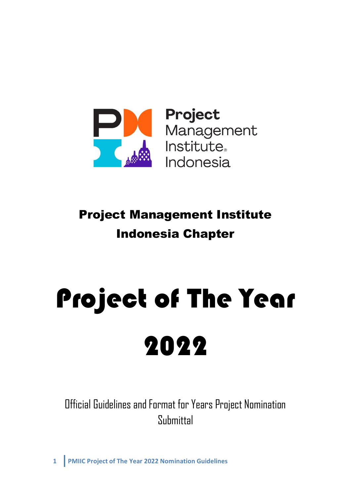

**Project**<br>Management<br>Institute<br>Indonesia

# Project Management Institute Indonesia Chapter

# Project of The Year 2022

Official Guidelines and Format for Years Project Nomination Submittal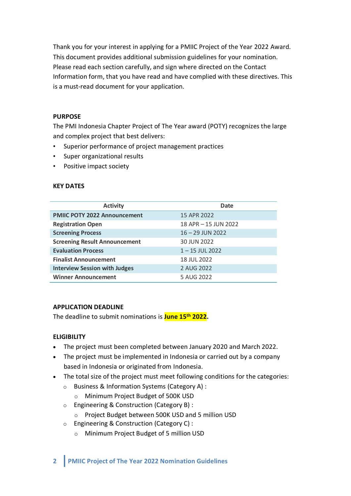Thank you for your interest in applying for a PMIIC Project of the Year 2022 Award. This document provides additional submission guidelines for your nomination. Please read each section carefully, and sign where directed on the Contact Information form, that you have read and have complied with these directives. This is a must-read document for your application.

## **PURPOSE**

The PMI Indonesia Chapter Project of The Year award (POTY) recognizes the large and complex project that best delivers:

- Superior performance of project management practices
- Super organizational results
- Positive impact society

## **KEY DATES**

| <b>Activity</b>                      | <b>Date</b>          |
|--------------------------------------|----------------------|
| <b>PMIIC POTY 2022 Announcement</b>  | 15 APR 2022          |
| <b>Registration Open</b>             | 18 APR - 15 JUN 2022 |
| <b>Screening Process</b>             | $16 - 29$ JUN 2022   |
| <b>Screening Result Announcement</b> | 30 JUN 2022          |
| <b>Evaluation Process</b>            | $1 - 15$ JUL 2022    |
| <b>Finalist Announcement</b>         | 18 JUL 2022          |
| <b>Interview Session with Judges</b> | 2 AUG 2022           |
| <b>Winner Announcement</b>           | 5 AUG 2022           |

# **APPLICATION DEADLINE**

The deadline to submit nominations is **June 15th 2022.**

# **ELIGIBILITY**

- The project must been completed between January 2020 and March 2022.
- The project must be implemented in Indonesia or carried out by a company based in Indonesia or originated from Indonesia.
- The total size of the project must meet following conditions for the categories:
	- o Business & Information Systems (Category A) :
		- o Minimum Project Budget of 500K USD
	- o Engineering & Construction (Category B) :
		- o Project Budget between 500K USD and 5 million USD
	- o Engineering & Construction (Category C) :
		- o Minimum Project Budget of 5 million USD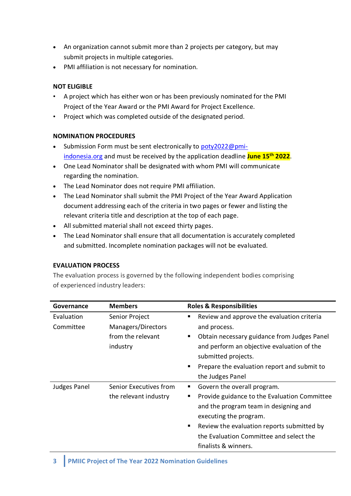- An organization cannot submit more than 2 projects per category, but may submit projects in multiple categories.
- PMI affiliation is not necessary for nomination.

# **NOT ELIGIBLE**

- A project which has either won or has been previously nominated for the PMI Project of the Year Award or the PMI Award for Project Excellence.
- Project which was completed outside of the designated period.

# **NOMINATION PROCEDURES**

- Submission Form must be sent electronically to [poty2022@pmi](mailto:poty2022@pmi-indonesia.org)[indonesia.org](mailto:poty2022@pmi-indonesia.org) and must be received by the application deadline **June 15th 2022**.
- One Lead Nominator shall be designated with whom PMI will communicate regarding the nomination.
- The Lead Nominator does not require PMI affiliation.
- The Lead Nominator shall submit the PMI Project of the Year Award Application document addressing each of the criteria in two pages or fewer and listing the relevant criteria title and description at the top of each page.
- All submitted material shall not exceed thirty pages.
- The Lead Nominator shall ensure that all documentation is accurately completed and submitted. Incomplete nomination packages will not be evaluated.

# **EVALUATION PROCESS**

The evaluation process is governed by the following independent bodies comprising of experienced industry leaders:

| Governance              | <b>Members</b>                                                        | <b>Roles &amp; Responsibilities</b>                                                                                                                                                                                                                                       |
|-------------------------|-----------------------------------------------------------------------|---------------------------------------------------------------------------------------------------------------------------------------------------------------------------------------------------------------------------------------------------------------------------|
| Evaluation<br>Committee | Senior Project<br>Managers/Directors<br>from the relevant<br>industry | Review and approve the evaluation criteria<br>п<br>and process.<br>Obtain necessary guidance from Judges Panel<br>and perform an objective evaluation of the<br>submitted projects.<br>Prepare the evaluation report and submit to<br>the Judges Panel                    |
| <b>Judges Panel</b>     | Senior Executives from<br>the relevant industry                       | Govern the overall program.<br>ш<br>Provide guidance to the Evaluation Committee<br>п<br>and the program team in designing and<br>executing the program.<br>Review the evaluation reports submitted by<br>the Evaluation Committee and select the<br>finalists & winners. |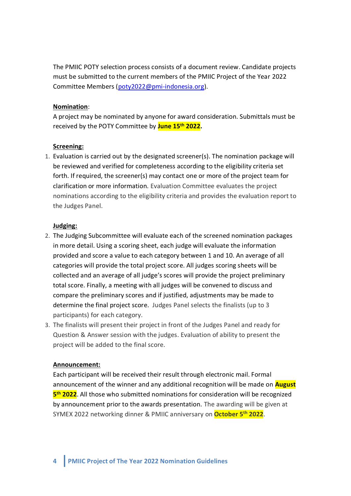The PMIIC POTY selection process consists of a document review. Candidate projects must be submitted to the current members of the PMIIC Project of the Year 2022 Committee Members [\(poty2022@pmi-indonesia.org\)](mailto:poty2022@pmi-indonesia.org).

#### **Nomination**:

A project may be nominated by anyone for award consideration. Submittals must be received by the POTY Committee by **June 15th 2022.**

#### **Screening:**

1. Evaluation is carried out by the designated screener(s). The nomination package will be reviewed and verified for completeness according to the eligibility criteria set forth. If required, the screener(s) may contact one or more of the project team for clarification or more information. Evaluation Committee evaluates the project nominations according to the eligibility criteria and provides the evaluation report to the Judges Panel.

#### **Judging:**

- 2. The Judging Subcommittee will evaluate each of the screened nomination packages in more detail. Using a scoring sheet, each judge will evaluate the information provided and score a value to each category between 1 and 10. An average of all categories will provide the total project score. All judges scoring sheets will be collected and an average of all judge's scores will provide the project preliminary total score. Finally, a meeting with all judges will be convened to discuss and compare the preliminary scores and if justified, adjustments may be made to determine the final project score. Judges Panel selects the finalists (up to 3 participants) for each category.
- 3. The finalists will present their project in front of the Judges Panel and ready for Question & Answer session with the judges. Evaluation of ability to present the project will be added to the final score.

#### **Announcement:**

Each participant will be received their result through electronic mail. Formal announcement of the winner and any additional recognition will be made on **August 5 th 2022**. All those who submitted nominations for consideration will be recognized by announcement prior to the awards presentation. The awarding will be given at SYMEX 2022 networking dinner & PMIIC anniversary on **October 5 th 2022**.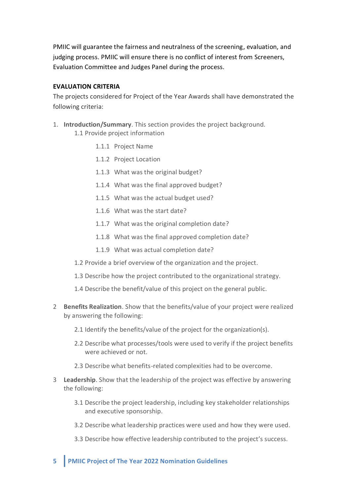PMIIC will guarantee the fairness and neutralness of the screening, evaluation, and judging process. PMIIC will ensure there is no conflict of interest from Screeners, Evaluation Committee and Judges Panel during the process.

# **EVALUATION CRITERIA**

The projects considered for Project of the Year Awards shall have demonstrated the following criteria:

- 1. **Introduction/Summary**. This section provides the project background. 1.1 Provide project information
	- 1.1.1 Project Name
	- 1.1.2 Project Location
	- 1.1.3 What was the original budget?
	- 1.1.4 What was the final approved budget?
	- 1.1.5 What was the actual budget used?
	- 1.1.6 What was the start date?
	- 1.1.7 What was the original completion date?
	- 1.1.8 What was the final approved completion date?
	- 1.1.9 What was actual completion date?
	- 1.2 Provide a brief overview of the organization and the project.
	- 1.3 Describe how the project contributed to the organizational strategy.
	- 1.4 Describe the benefit/value of this project on the general public.
- 2 **Benefits Realization**. Show that the benefits/value of your project were realized by answering the following:
	- 2.1 Identify the benefits/value of the project for the organization(s).
	- 2.2 Describe what processes/tools were used to verify if the project benefits were achieved or not.
	- 2.3 Describe what benefits-related complexities had to be overcome.
- 3 **Leadership**. Show that the leadership of the project was effective by answering the following:
	- 3.1 Describe the project leadership, including key stakeholder relationships and executive sponsorship.
	- 3.2 Describe what leadership practices were used and how they were used.
	- 3.3 Describe how effective leadership contributed to the project's success.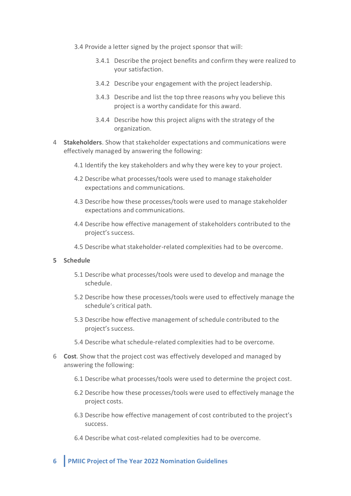- 3.4 Provide a letter signed by the project sponsor that will:
	- 3.4.1 Describe the project benefits and confirm they were realized to your satisfaction.
	- 3.4.2 Describe your engagement with the project leadership.
	- 3.4.3 Describe and list the top three reasons why you believe this project is a worthy candidate for this award.
	- 3.4.4 Describe how this project aligns with the strategy of the organization.
- 4 **Stakeholders**. Show that stakeholder expectations and communications were effectively managed by answering the following:
	- 4.1 Identify the key stakeholders and why they were key to your project.
	- 4.2 Describe what processes/tools were used to manage stakeholder expectations and communications.
	- 4.3 Describe how these processes/tools were used to manage stakeholder expectations and communications.
	- 4.4 Describe how effective management of stakeholders contributed to the project's success.
	- 4.5 Describe what stakeholder-related complexities had to be overcome.

#### **5 Schedule**

- 5.1 Describe what processes/tools were used to develop and manage the schedule.
- 5.2 Describe how these processes/tools were used to effectively manage the schedule's critical path.
- 5.3 Describe how effective management of schedule contributed to the project's success.
- 5.4 Describe what schedule-related complexities had to be overcome.
- 6 **Cost**. Show that the project cost was effectively developed and managed by answering the following:
	- 6.1 Describe what processes/tools were used to determine the project cost.
	- 6.2 Describe how these processes/tools were used to effectively manage the project costs.
	- 6.3 Describe how effective management of cost contributed to the project's success.
	- 6.4 Describe what cost-related complexities had to be overcome.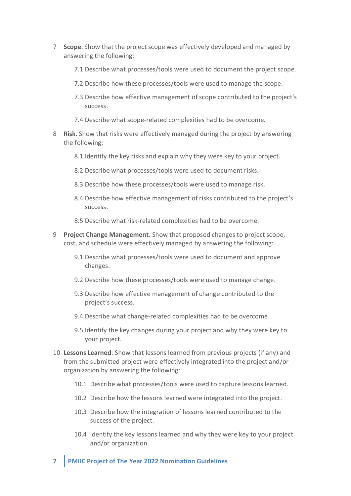- 7 **Scope**. Show that the project scope was effectively developed and managed by answering the following:
	- 7.1 Describe what processes/tools were used to document the project scope.
	- 7.2 Describe how these processes/tools were used to manage the scope.
	- 7.3 Describe how effective management of scope contributed to the project's success.
	- 7.4 Describe what scope-related complexities had to be overcome.
- 8 **Risk**. Show that risks were effectively managed during the project by answering the following:
	- 8.1 Identify the key risks and explain why they were key to your project.
	- 8.2 Describe what processes/tools were used to document risks.
	- 8.3 Describe how these processes/tools were used to manage risk.
	- 8.4 Describe how effective management of risks contributed to the project's success.
	- 8.5 Describe what risk-related complexities had to be overcome.
- 9 **Project Change Management**. Show that proposed changes to project scope, cost, and schedule were effectively managed by answering the following:
	- 9.1 Describe what processes/tools were used to document and approve changes.
	- 9.2 Describe how these processes/tools were used to manage change.
	- 9.3 Describe how effective management of change contributed to the project's success.
	- 9.4 Describe what change-related complexities had to be overcome.
	- 9.5 Identify the key changes during your project and why they were key to your project.
- 10 **Lessons Learned**. Show that lessons learned from previous projects (if any) and from the submitted project were effectively integrated into the project and/or organization by answering the following:
	- 10.1 Describe what processes/tools were used to capture lessons learned.
	- 10.2 Describe how the lessons learned were integrated into the project.
	- 10.3 Describe how the integration of lessons learned contributed to the success of the project.
	- 10.4 Identify the key lessons learned and why they were key to your project and/or organization.
- **7 PMIIC Project of The Year 2022 Nomination Guidelines**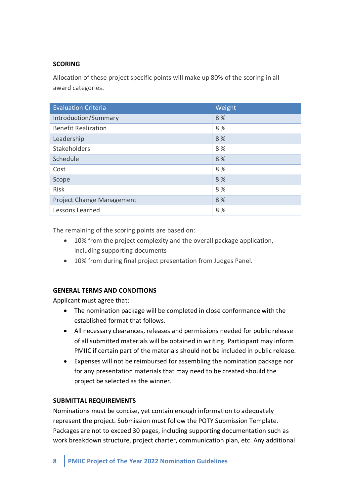# **SCORING**

Allocation of these project specific points will make up 80% of the scoring in all award categories.

| <b>Evaluation Criteria</b> | Weight |
|----------------------------|--------|
| Introduction/Summary       | 8%     |
| <b>Benefit Realization</b> | 8%     |
| Leadership                 | 8%     |
| Stakeholders               | 8 %    |
| Schedule                   | 8 %    |
| Cost                       | 8%     |
| Scope                      | 8 %    |
| Risk                       | 8 %    |
| Project Change Management  | 8 %    |
| Lessons Learned            | 8%     |

The remaining of the scoring points are based on:

- 10% from the project complexity and the overall package application, including supporting documents
- 10% from during final project presentation from Judges Panel.

# **GENERAL TERMS AND CONDITIONS**

Applicant must agree that:

- The nomination package will be completed in close conformance with the established format that follows.
- All necessary clearances, releases and permissions needed for public release of all submitted materials will be obtained in writing. Participant may inform PMIIC if certain part of the materials should not be included in public release.
- Expenses will not be reimbursed for assembling the nomination package nor for any presentation materials that may need to be created should the project be selected as the winner.

#### **SUBMITTAL REQUIREMENTS**

Nominations must be concise, yet contain enough information to adequately represent the project. Submission must follow the POTY Submission Template. Packages are not to exceed 30 pages, including supporting documentation such as work breakdown structure, project charter, communication plan, etc. Any additional